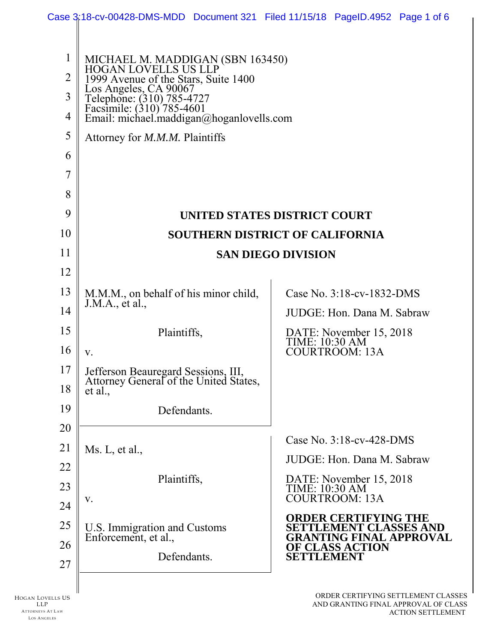|                               | Case 3:18-cv-00428-DMS-MDD Document 321 Filed 11/15/18 PageID.4952 Page 1 of 6                                                                                      |  |  |                                                                    |  |  |
|-------------------------------|---------------------------------------------------------------------------------------------------------------------------------------------------------------------|--|--|--------------------------------------------------------------------|--|--|
| $\mathbf 1$<br>$\overline{2}$ | MICHAEL M. MADDIGAN (SBN 163450)<br>HOGAN LOVELLS US LLP                                                                                                            |  |  |                                                                    |  |  |
| 3<br>4                        | 1999 Avenue of the Stars, Suite 1400<br>Los Angeles, CA 90067<br>Telephone: (310) 785-4727<br>Facsimile: (310) 785-4601<br>Email: michael.maddigan@hoganlovells.com |  |  |                                                                    |  |  |
| 5                             | Attorney for M.M.M. Plaintiffs                                                                                                                                      |  |  |                                                                    |  |  |
| 6                             |                                                                                                                                                                     |  |  |                                                                    |  |  |
| 7                             |                                                                                                                                                                     |  |  |                                                                    |  |  |
| 8                             |                                                                                                                                                                     |  |  |                                                                    |  |  |
| 9                             | UNITED STATES DISTRICT COURT                                                                                                                                        |  |  |                                                                    |  |  |
| 10                            | SOUTHERN DISTRICT OF CALIFORNIA                                                                                                                                     |  |  |                                                                    |  |  |
| 11                            | <b>SAN DIEGO DIVISION</b>                                                                                                                                           |  |  |                                                                    |  |  |
| 12                            |                                                                                                                                                                     |  |  |                                                                    |  |  |
| 13                            | M.M.M., on behalf of his minor child,<br>J.M.A., et al.,                                                                                                            |  |  | Case No. 3:18-cv-1832-DMS                                          |  |  |
| 14                            |                                                                                                                                                                     |  |  | JUDGE: Hon. Dana M. Sabraw                                         |  |  |
| 15                            | Plaintiffs,                                                                                                                                                         |  |  | DATE: November 15, 2018<br>TIME: 10:30 AM                          |  |  |
| 16                            | V.                                                                                                                                                                  |  |  | <b>COURTROOM: 13A</b>                                              |  |  |
| 17<br>18                      | Jefferson Beauregard Sessions, III,<br>Attorney General of the United States,<br>et al.,                                                                            |  |  |                                                                    |  |  |
| 19                            | Defendants.                                                                                                                                                         |  |  |                                                                    |  |  |
| 20                            |                                                                                                                                                                     |  |  |                                                                    |  |  |
| 21                            | Ms. L, et al.,                                                                                                                                                      |  |  | Case No. 3:18-cv-428-DMS<br>JUDGE: Hon. Dana M. Sabraw             |  |  |
| 22                            | Plaintiffs,                                                                                                                                                         |  |  |                                                                    |  |  |
| 23                            | V.                                                                                                                                                                  |  |  | DATE: November 15, 2018<br>TIME: 10:30 AM<br><b>COURTROOM: 13A</b> |  |  |
| 24                            |                                                                                                                                                                     |  |  | <b>ORDER CERTIFYING THE</b>                                        |  |  |
| 25                            | U.S. Immigration and Customs<br>Enforcement, et al.,<br>Defendants.                                                                                                 |  |  | <b>SETTLEMENT CLASSES AND</b><br><b>GRANTING FINAL APPROVAL</b>    |  |  |
| 26                            |                                                                                                                                                                     |  |  | <b>OF CLASS ACTION</b><br><b>SETTLEMENT</b>                        |  |  |
| 27                            |                                                                                                                                                                     |  |  |                                                                    |  |  |
|                               |                                                                                                                                                                     |  |  |                                                                    |  |  |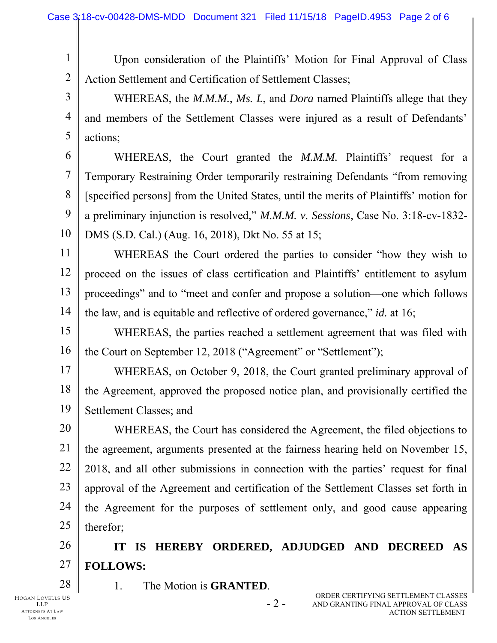1 2 Upon consideration of the Plaintiffs' Motion for Final Approval of Class Action Settlement and Certification of Settlement Classes;

3 4 5 WHEREAS, the *M.M.M.*, *Ms. L*, and *Dora* named Plaintiffs allege that they and members of the Settlement Classes were injured as a result of Defendants' actions;

6 7 8 9 10 WHEREAS, the Court granted the *M.M.M.* Plaintiffs' request for a Temporary Restraining Order temporarily restraining Defendants "from removing [specified persons] from the United States, until the merits of Plaintiffs' motion for a preliminary injunction is resolved," *M.M.M. v. Sessions*, Case No. 3:18-cv-1832- DMS (S.D. Cal.) (Aug. 16, 2018), Dkt No. 55 at 15;

11 12 13 14 WHEREAS the Court ordered the parties to consider "how they wish to proceed on the issues of class certification and Plaintiffs' entitlement to asylum proceedings" and to "meet and confer and propose a solution—one which follows the law, and is equitable and reflective of ordered governance," *id.* at 16;

15 16 WHEREAS, the parties reached a settlement agreement that was filed with the Court on September 12, 2018 ("Agreement" or "Settlement");

17 18 19 WHEREAS, on October 9, 2018, the Court granted preliminary approval of the Agreement, approved the proposed notice plan, and provisionally certified the Settlement Classes; and

20 21 22 23 24 25 WHEREAS, the Court has considered the Agreement, the filed objections to the agreement, arguments presented at the fairness hearing held on November 15, 2018, and all other submissions in connection with the parties' request for final approval of the Agreement and certification of the Settlement Classes set forth in the Agreement for the purposes of settlement only, and good cause appearing therefor;

26 27 **IT IS HEREBY ORDERED, ADJUDGED AND DECREED AS FOLLOWS:** 

HOGAN LOVELLS US LLP ATTORNEYS AT LAW 28

LOS A NG EL ES

1. The Motion is **GRANTED**.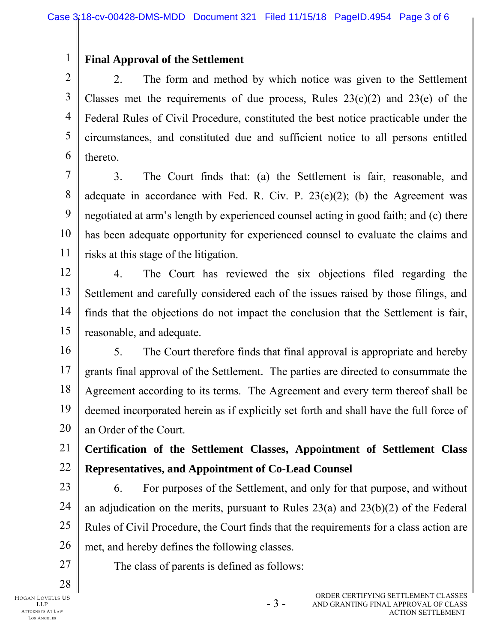## **Final Approval of the Settlement**

1

2 3 4 5 6 2. The form and method by which notice was given to the Settlement Classes met the requirements of due process, Rules  $23(c)(2)$  and  $23(e)$  of the Federal Rules of Civil Procedure, constituted the best notice practicable under the circumstances, and constituted due and sufficient notice to all persons entitled thereto.

7 8 9 10 11 3. The Court finds that: (a) the Settlement is fair, reasonable, and adequate in accordance with Fed. R. Civ. P.  $23(e)(2)$ ; (b) the Agreement was negotiated at arm's length by experienced counsel acting in good faith; and (c) there has been adequate opportunity for experienced counsel to evaluate the claims and risks at this stage of the litigation.

12 13 14 15 4. The Court has reviewed the six objections filed regarding the Settlement and carefully considered each of the issues raised by those filings, and finds that the objections do not impact the conclusion that the Settlement is fair, reasonable, and adequate.

16 17 18 19 20 5. The Court therefore finds that final approval is appropriate and hereby grants final approval of the Settlement. The parties are directed to consummate the Agreement according to its terms. The Agreement and every term thereof shall be deemed incorporated herein as if explicitly set forth and shall have the full force of an Order of the Court.

21 22 **Certification of the Settlement Classes, Appointment of Settlement Class Representatives, and Appointment of Co-Lead Counsel** 

23 24 25 26 6. For purposes of the Settlement, and only for that purpose, and without an adjudication on the merits, pursuant to Rules 23(a) and 23(b)(2) of the Federal Rules of Civil Procedure, the Court finds that the requirements for a class action are met, and hereby defines the following classes.

The class of parents is defined as follows:

HOGAN LOVELLS US LLP

27

28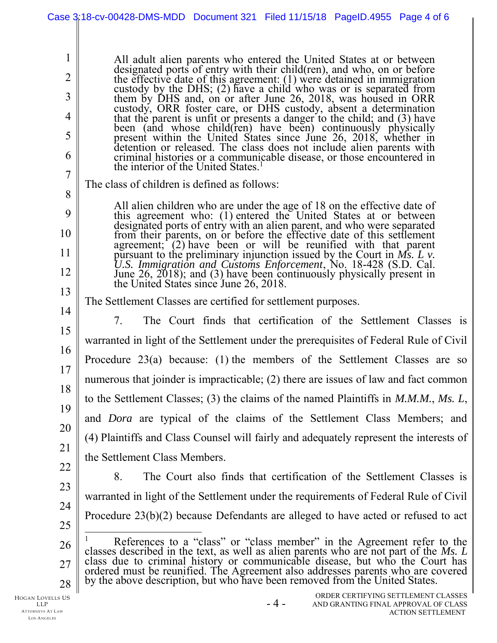|                | Case 3:18-cv-00428-DMS-MDD Document 321 Filed 11/15/18 PageID.4955 Page 4 of 6                                                                                                                                                       |  |  |  |  |  |
|----------------|--------------------------------------------------------------------------------------------------------------------------------------------------------------------------------------------------------------------------------------|--|--|--|--|--|
|                |                                                                                                                                                                                                                                      |  |  |  |  |  |
| $\mathbf{I}$   | All adult alien parents who entered the United States at or between                                                                                                                                                                  |  |  |  |  |  |
| $\overline{2}$ | designated ports of entry with their child(ren), and who, on or before<br>the effective date of this agreement: $(1)$ were detained in immigration                                                                                   |  |  |  |  |  |
| 3              | custody by the DHS; (2) have a child who was or is separated from<br>them by DHS and, on or after June 26, 2018, was housed in ORR                                                                                                   |  |  |  |  |  |
| 4              | custody, ORR foster care, or DHS custody, absent a determination<br>that the parent is unfit or presents a danger to the child; and (3) have                                                                                         |  |  |  |  |  |
| 5              | been (and whose child(ren) have been) continuously physically<br>present within the United States since June 26, 2018, whether in                                                                                                    |  |  |  |  |  |
| 6              | detention or released. The class does not include alien parents with                                                                                                                                                                 |  |  |  |  |  |
| $\overline{7}$ | criminal histories or a communicable disease, or those encountered in<br>the interior of the United States. <sup>1</sup>                                                                                                             |  |  |  |  |  |
| 8              | The class of children is defined as follows:                                                                                                                                                                                         |  |  |  |  |  |
| 9              | All alien children who are under the age of 18 on the effective date of<br>this agreement who: (1) entered the United States at or between                                                                                           |  |  |  |  |  |
| 10             | designated ports of entry with an alien parent, and who were separated<br>from their parents, on or before the effective date of this settlement                                                                                     |  |  |  |  |  |
| 11             | agreement; (2) have been or will be reunified with that parent<br>pursuant to the preliminary injunction issued by the Court in Ms. $L$ v.                                                                                           |  |  |  |  |  |
| 12             | U.S. Immigration and Customs Enforcement, No. 18-428 (S.D. Cal.<br>June 26, 2018); and (3) have been continuously physically present in                                                                                              |  |  |  |  |  |
| 13             | the United States since June 26, 2018.                                                                                                                                                                                               |  |  |  |  |  |
| 14             | The Settlement Classes are certified for settlement purposes.                                                                                                                                                                        |  |  |  |  |  |
| 15             | The Court finds that certification of the Settlement Classes is<br>7.                                                                                                                                                                |  |  |  |  |  |
| 16             | warranted in light of the Settlement under the prerequisites of Federal Rule of Civil                                                                                                                                                |  |  |  |  |  |
| 17             | Procedure $23(a)$ because: (1) the members of the Settlement Classes are so                                                                                                                                                          |  |  |  |  |  |
| 18             | numerous that joinder is impracticable; (2) there are issues of law and fact common                                                                                                                                                  |  |  |  |  |  |
| 19             | to the Settlement Classes; (3) the claims of the named Plaintiffs in $M.M.M., Ms. L,$                                                                                                                                                |  |  |  |  |  |
| 20             | and <i>Dora</i> are typical of the claims of the Settlement Class Members; and                                                                                                                                                       |  |  |  |  |  |
| 21             | (4) Plaintiffs and Class Counsel will fairly and adequately represent the interests of                                                                                                                                               |  |  |  |  |  |
| 22             | the Settlement Class Members.                                                                                                                                                                                                        |  |  |  |  |  |
| 23             | 8.<br>The Court also finds that certification of the Settlement Classes is                                                                                                                                                           |  |  |  |  |  |
| 24             | warranted in light of the Settlement under the requirements of Federal Rule of Civil                                                                                                                                                 |  |  |  |  |  |
| 25             | Procedure $23(b)(2)$ because Defendants are alleged to have acted or refused to act                                                                                                                                                  |  |  |  |  |  |
| 26             | References to a "class" or "class member" in the Agreement refer to the                                                                                                                                                              |  |  |  |  |  |
| 27             | classes described in the text, as well as alien parents who are not part of the Ms. L<br>class due to criminal history or communicable disease, but who the Court has<br>ordered must be reunified. The Agreement also addresses par |  |  |  |  |  |
| 28             | by the above description, but who have been removed from the United States.                                                                                                                                                          |  |  |  |  |  |
| vells US       | ORDER CERTIFYING SETTLEMENT CLASSES                                                                                                                                                                                                  |  |  |  |  |  |

HOGAN LOVELLS US LLP ATTORNEYS AT LAW LOS ANGELES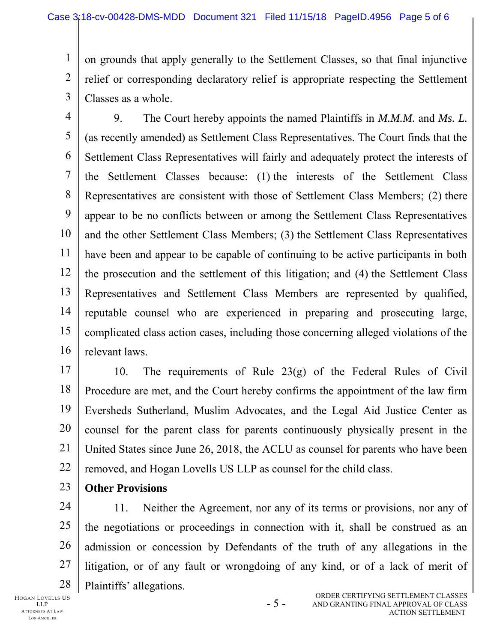1 2 3 on grounds that apply generally to the Settlement Classes, so that final injunctive relief or corresponding declaratory relief is appropriate respecting the Settlement Classes as a whole.

4 5 6 7 8 9 10 11 12 13 14 15 16 9. The Court hereby appoints the named Plaintiffs in *M.M.M.* and *Ms. L.*  (as recently amended) as Settlement Class Representatives. The Court finds that the Settlement Class Representatives will fairly and adequately protect the interests of the Settlement Classes because: (1) the interests of the Settlement Class Representatives are consistent with those of Settlement Class Members; (2) there appear to be no conflicts between or among the Settlement Class Representatives and the other Settlement Class Members; (3) the Settlement Class Representatives have been and appear to be capable of continuing to be active participants in both the prosecution and the settlement of this litigation; and (4) the Settlement Class Representatives and Settlement Class Members are represented by qualified, reputable counsel who are experienced in preparing and prosecuting large, complicated class action cases, including those concerning alleged violations of the relevant laws.

17 18 19 20 21 22 10. The requirements of Rule 23(g) of the Federal Rules of Civil Procedure are met, and the Court hereby confirms the appointment of the law firm Eversheds Sutherland, Muslim Advocates, and the Legal Aid Justice Center as counsel for the parent class for parents continuously physically present in the United States since June 26, 2018, the ACLU as counsel for parents who have been removed, and Hogan Lovells US LLP as counsel for the child class.

23 **Other Provisions** 

24 25 26 27 28 11. Neither the Agreement, nor any of its terms or provisions, nor any of the negotiations or proceedings in connection with it, shall be construed as an admission or concession by Defendants of the truth of any allegations in the litigation, or of any fault or wrongdoing of any kind, or of a lack of merit of Plaintiffs' allegations.

HOGAN LOVELLS US LLP ATTORNEYS AT LAW LOS A NG EL ES